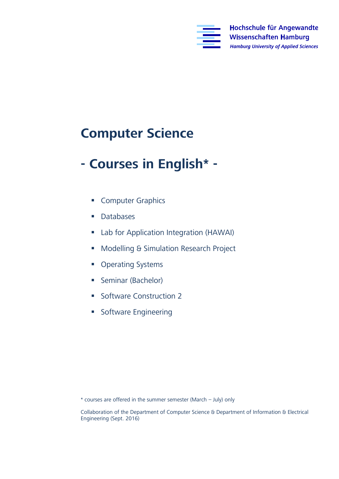

Hochschule für Angewandte **Wissenschaften Hamburg Hamburg University of Applied Sciences** 

# **Computer Science**

# **- Courses in English\* -**

- Computer Graphics
- **Databases**
- **E** Lab for Application Integration (HAWAI)
- **Modelling & Simulation Research Project**
- Operating Systems
- **Seminar (Bachelor)**
- **Software Construction 2**
- **Software Engineering**

<sup>\*</sup> courses are offered in the summer semester (March – July) only

Collaboration of the Department of Computer Science & Department of Information & Electrical Engineering (Sept. 2016)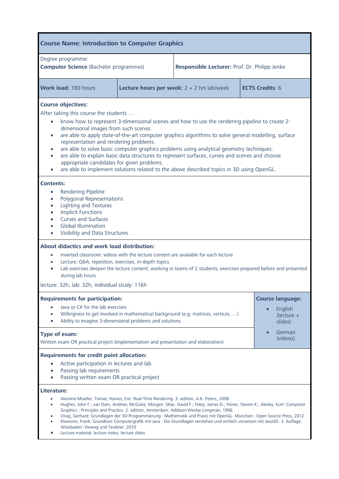| <b>Course Name: Introduction to Computer Graphics</b>                                                                                                                                                                                                                                                                                                                                                                                                                                                                                                                                                                                                                                                                          |  |                                                                                                                                                                                                                                                                                                                                                      |                                                                |  |
|--------------------------------------------------------------------------------------------------------------------------------------------------------------------------------------------------------------------------------------------------------------------------------------------------------------------------------------------------------------------------------------------------------------------------------------------------------------------------------------------------------------------------------------------------------------------------------------------------------------------------------------------------------------------------------------------------------------------------------|--|------------------------------------------------------------------------------------------------------------------------------------------------------------------------------------------------------------------------------------------------------------------------------------------------------------------------------------------------------|----------------------------------------------------------------|--|
| Degree programme:<br><b>Computer Science</b> (Bachelor programmes)                                                                                                                                                                                                                                                                                                                                                                                                                                                                                                                                                                                                                                                             |  | Responsible Lecturer: Prof. Dr. Philipp Jenke                                                                                                                                                                                                                                                                                                        |                                                                |  |
| Work load: 180 hours                                                                                                                                                                                                                                                                                                                                                                                                                                                                                                                                                                                                                                                                                                           |  | Lecture hours per week: $2 + 2$ hrs lab/week                                                                                                                                                                                                                                                                                                         | <b>ECTS Credits: 6</b>                                         |  |
| <b>Course objectives:</b><br>After taking this course the students<br>know how to represent 3-dimensional scenes and how to use the rendering pipeline to create 2-<br>dimensional images from such scenes.<br>are able to apply state-of-the-art computer graphics algorithms to solve general modelling, surface<br>$\bullet$<br>representation and rendering problems.<br>are able to solve basic computer graphics problems using analytical geometry techniques.<br>$\bullet$<br>are able to explain basic data structures to represent surfaces, curves and scenes and choose<br>appropriate candidates for given problems.<br>are able to implement solutions related to the above described topics in 3D using OpenGL. |  |                                                                                                                                                                                                                                                                                                                                                      |                                                                |  |
| <b>Contents:</b><br>Rendering Pipeline<br>$\bullet$<br>Polygonal Representations<br>$\bullet$<br><b>Lighting and Textures</b><br>$\bullet$<br><b>Implicit Functions</b><br>$\bullet$<br><b>Curves and Surfaces</b><br><b>Global Illumination</b><br>$\bullet$<br>Visibility and Data Structures<br>$\bullet$<br>About didactics and work load distribution:<br>Inverted classroom: videos with the lecture content are available for each lecture<br>Lecture: Q&A, repetition, exercises, in-depth topics<br>$\bullet$<br>Lab exercises deepen the lecture content; working in teams of 2 students; exercises prepared before and presented                                                                                    |  |                                                                                                                                                                                                                                                                                                                                                      |                                                                |  |
| during lab hours<br>lecture: 32h, lab: 32h, individual study: 116h                                                                                                                                                                                                                                                                                                                                                                                                                                                                                                                                                                                                                                                             |  |                                                                                                                                                                                                                                                                                                                                                      |                                                                |  |
| <b>Requirements for participation:</b><br>Java or C# for the lab exercises<br>Ability to imagine 3-dimensional problems and solutions                                                                                                                                                                                                                                                                                                                                                                                                                                                                                                                                                                                          |  | Willingness to get involved in mathematical background (e.g. matrices, vertices, )                                                                                                                                                                                                                                                                   | <b>Course language:</b><br>English<br>$($ lecture +<br>slides) |  |
| German<br>Type of exam:<br>(videos)<br>Written exam OR practical project (implementation and presentation and elaboration)                                                                                                                                                                                                                                                                                                                                                                                                                                                                                                                                                                                                     |  |                                                                                                                                                                                                                                                                                                                                                      |                                                                |  |
| <b>Requirements for credit point allocation:</b><br>Active participation in lectures and lab<br>Passing lab requirements<br>Passing written exam OR practical project<br>Literature:<br>Akenine-Moeller, Tomas; Haines, Eric: Real-Time Rendering. 3. edition, A.K. Peters, 2008                                                                                                                                                                                                                                                                                                                                                                                                                                               |  |                                                                                                                                                                                                                                                                                                                                                      |                                                                |  |
|                                                                                                                                                                                                                                                                                                                                                                                                                                                                                                                                                                                                                                                                                                                                |  | Hughes, John F.; van Dam, Andries; McGuire, Morgan; Sklar, David F.; Foley, James D.; Feiner, Steven K.; Akeley, Kurt: Computer<br>Graphics : Principles and Practice. 2. edition, Amsterdam: Addison-Wesley Longman, 1996<br>Virag, Gerhard: Grundlagen der 3D-Programmierung : Mathematik und Praxis mit OpenGL. München : Open Source Press, 2012 |                                                                |  |

 Virag, Gerhard: Grundlagen der 3D-Programmierung : Mathematik und Praxis mit OpenGL. München : Open Source Press, 2012 Klawonn, Frank: Grundkurs Computergrafik mit Java : Die Grundlagen verstehen und einfach umsetzen mit Java3D. 3. Auflage, (Winchadon: Viowon und Toubnor, 2010)

• Construction Telecture material: lecture notes, lecture slides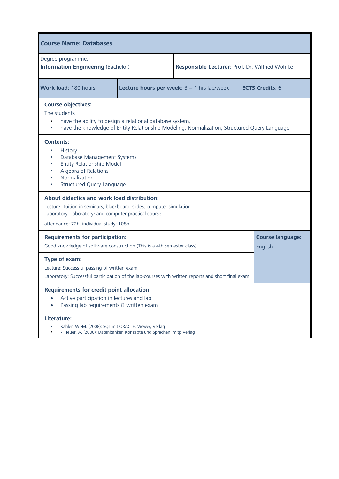| <b>Course Name: Databases</b>                                                                                                                                                                                                    |  |                                                     |                         |  |
|----------------------------------------------------------------------------------------------------------------------------------------------------------------------------------------------------------------------------------|--|-----------------------------------------------------|-------------------------|--|
| Degree programme:<br><b>Information Engineering (Bachelor)</b><br>Responsible Lecturer: Prof. Dr. Wilfried Wöhlke                                                                                                                |  |                                                     |                         |  |
| Work load: 180 hours                                                                                                                                                                                                             |  | <b>Lecture hours per week:</b> $3 + 1$ hrs lab/week | <b>ECTS Credits: 6</b>  |  |
| <b>Course objectives:</b><br>The students<br>have the ability to design a relational database system,<br>$\bullet$<br>have the knowledge of Entity Relationship Modeling, Normalization, Structured Query Language.<br>$\bullet$ |  |                                                     |                         |  |
| <b>Contents:</b><br><b>History</b><br>٠<br>Database Management Systems<br><b>Entity Relationship Model</b><br>$\bullet$<br>Algebra of Relations<br>Normalization<br><b>Structured Query Language</b>                             |  |                                                     |                         |  |
| About didactics and work load distribution:<br>Lecture: Tuition in seminars, blackboard, slides, computer simulation<br>Laboratory: Laboratory- and computer practical course<br>attendance: 72h, individual study: 108h         |  |                                                     |                         |  |
| <b>Requirements for participation:</b><br>Good knowledge of software construction (This is a 4th semester class)<br>English                                                                                                      |  |                                                     | <b>Course language:</b> |  |
| Type of exam:<br>Lecture: Successful passing of written exam<br>Laboratory: Successful participation of the lab-courses with written reports and short final exam                                                                |  |                                                     |                         |  |
| <b>Requirements for credit point allocation:</b><br>Active participation in lectures and lab<br>Passing lab requirements & written exam                                                                                          |  |                                                     |                         |  |
| Literature:<br>Kähler, W.-M. (2008): SQL mit ORACLE, Vieweg Verlag<br>• Heuer, A. (2000): Datenbanken Konzepte und Sprachen, mitp Verlag                                                                                         |  |                                                     |                         |  |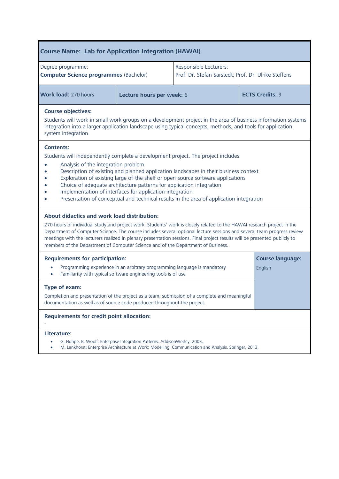### **Course Name: Lab for Application Integration (HAWAI)** Degree programme:<br>Computer Science programmes (Bachelor) **Computer Science programmes** (Bachelor) Responsible Lecturers:<br>Prof. Dr. Stefan Sarstedt; Prof. Dr. Ulrike Steffens Prof. Dr. Stefan Sarstedt; Prof. Dr. Ulrike Steffens **Work load:** 270 hours **Lecture hours per week: 6 <b>ECTS Credits:** 9 **Course objectives:**<br>Students will work in small work groups on a development project in the area of business information systems

integration into a larger application landscape using typical concepts, methods, and tools for application  $i$  integration into a larger application landscape using typical concepts, methods, and tools for application  $i$ system integration.

#### **Contents:**

Students will independently complete a development project. The project includes:

- 
- Students will be a development project.<br>Analysis of the integration problem<br>Analysis of the integration problem Description of existing and planned application landscapes in their business context
- Exploration of existing large of-the-shelf or open-source software applications
- Choice of adequate architecture patterns for application integration
- Implementation of interfaces for application integration
- Presentation of conceptual and technical results in the area of application integration

#### About didactics and work load distribution:

270 hours of individual study and project work. Students' work is closely related to the HAWAI research project in the Department of Computer Science. The course includes several optional lecture sessions and several team progress review meetings with the lecturers realized in plenary presentation sessions. Final project results will be presented publicly to member of the Department of Computer Crises and of the Department of Discoses. Final projective publicly to members of the Department of Computer Science and of the Department of Business.

| <b>Requirements for participation:</b>                                                                                                                                                        | <b>Course language:</b> |  |  |  |
|-----------------------------------------------------------------------------------------------------------------------------------------------------------------------------------------------|-------------------------|--|--|--|
| Programming experience in an arbitrary programming language is mandatory<br>$\bullet$<br>Familiarity with typical software engineering tools is of use<br>$\bullet$                           | English                 |  |  |  |
| Type of exam:<br>Completion and presentation of the project as a team; submission of a complete and meaningful<br>documentation as well as of source code produced throughout the project.    |                         |  |  |  |
| Requirements for credit point allocation:                                                                                                                                                     |                         |  |  |  |
| Literature:<br>G. Hohpe, B. Woolf: Enterprise Integration Patterns. AddisonWesley, 2003.<br>M. Lankhorst: Enterprise Architecture at Work: Modelling Communication and Analysis Springer 2013 |                         |  |  |  |

M. Lankhorst: Enterprise Architecture at Work: Modelling, Communication and Analysis. Springer, 2013.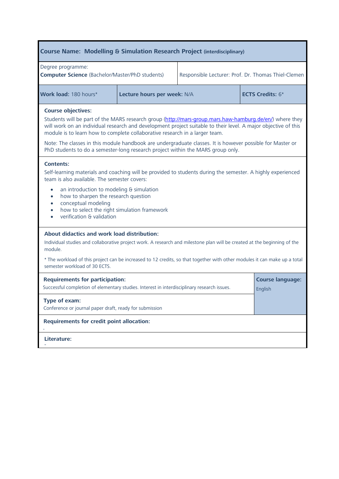### **Course Name: Modelling & Simulation Research Project (interdisciplinary)**

| Degree programme:<br><b>Computer Science</b> (Bachelor/Master/PhD students)<br>Responsible Lecturer: Prof. Dr. Thomas Thiel-Clemen                                                                                                                                                                                                    |                             |  |                                    |  |
|---------------------------------------------------------------------------------------------------------------------------------------------------------------------------------------------------------------------------------------------------------------------------------------------------------------------------------------|-----------------------------|--|------------------------------------|--|
| Work load: 180 hours*                                                                                                                                                                                                                                                                                                                 | Lecture hours per week: N/A |  | <b>ECTS Credits: 6*</b>            |  |
| <b>Course objectives:</b><br>Students will be part of the MARS research group (http://mars-group.mars.haw-hamburg.de/en/) where they<br>will work on an individual research and development project suitable to their level. A major objective of this<br>module is to learn how to complete collaborative research in a larger team. |                             |  |                                    |  |
| Note: The classes in this module handbook are undergraduate classes. It is however possible for Master or<br>PhD students to do a semester-long research project within the MARS group only.                                                                                                                                          |                             |  |                                    |  |
| <b>Contents:</b><br>Self-learning materials and coaching will be provided to students during the semester. A highly experienced<br>team is also available. The semester covers:<br>an introduction to modeling & simulation<br>$\bullet$<br>how to sharpen the research question<br>$\bullet$<br>conceptual modeling                  |                             |  |                                    |  |
| $\bullet$<br>how to select the right simulation framework<br>$\bullet$<br>verification & validation<br>$\bullet$                                                                                                                                                                                                                      |                             |  |                                    |  |
| About didactics and work load distribution:<br>Individual studies and collaborative project work. A research and milestone plan will be created at the beginning of the<br>module.                                                                                                                                                    |                             |  |                                    |  |
| * The workload of this project can be increased to 12 credits, so that together with other modules it can make up a total<br>semester workload of 30 ECTS.                                                                                                                                                                            |                             |  |                                    |  |
| <b>Requirements for participation:</b><br>Successful completion of elementary studies. Interest in interdisciplinary research issues.                                                                                                                                                                                                 |                             |  | <b>Course language:</b><br>English |  |
| <b>Type of exam:</b><br>Conference or journal paper draft, ready for submission                                                                                                                                                                                                                                                       |                             |  |                                    |  |
| <b>Requirements for credit point allocation:</b>                                                                                                                                                                                                                                                                                      |                             |  |                                    |  |
| Literature:                                                                                                                                                                                                                                                                                                                           |                             |  |                                    |  |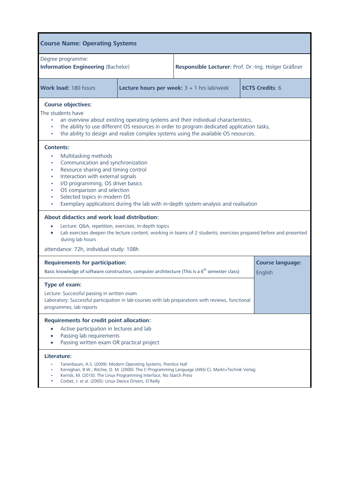| <b>Course Name: Operating Systems</b>                                                                                                                                                                                                                                                                                                                                                                                                                                                                              |  |                                                     |  |                                    |
|--------------------------------------------------------------------------------------------------------------------------------------------------------------------------------------------------------------------------------------------------------------------------------------------------------------------------------------------------------------------------------------------------------------------------------------------------------------------------------------------------------------------|--|-----------------------------------------------------|--|------------------------------------|
| Degree programme:<br><b>Information Engineering (Bachelor)</b>                                                                                                                                                                                                                                                                                                                                                                                                                                                     |  | Responsible Lecturer: Prof. Dr.-Ing. Holger Gräßner |  |                                    |
| Work load: 180 hours                                                                                                                                                                                                                                                                                                                                                                                                                                                                                               |  | <b>Lecture hours per week:</b> $3 + 1$ hrs lab/week |  | <b>ECTS Credits: 6</b>             |
| <b>Course objectives:</b><br>The students have<br>an overview about existing operating systems and their individual characteristics,<br>the ability to use different OS resources in order to program dedicated application tasks,<br>$\bullet$<br>the ability to design and realize complex systems using the available OS resources.                                                                                                                                                                             |  |                                                     |  |                                    |
| <b>Contents:</b><br>Multitasking methods<br>$\bullet$<br>Communication and synchronization<br>$\bullet$<br>Resource sharing and timing control<br>$\bullet$<br>Interaction with external signals<br>$\bullet$<br>I/O programming, OS driver basics<br>$\bullet$<br>OS comparison and selection<br>$\bullet$<br>Selected topics in modern OS<br>$\bullet$<br>Exemplary applications during the lab with in-depth system-analysis and realisation<br>$\bullet$<br><b>About didactics and work load distribution:</b> |  |                                                     |  |                                    |
| Lecture: Q&A, repetition, exercises, in-depth topics<br>$\bullet$<br>Lab exercises deepen the lecture content; working in teams of 2 students; exercises prepared before and presented<br>$\bullet$<br>during lab hours<br>attendance: 72h, individual study: 108h                                                                                                                                                                                                                                                 |  |                                                     |  |                                    |
| <b>Requirements for participation:</b><br>Basic knowledge of software construction, computer architecture (This is a 6 <sup>th</sup> semester class)                                                                                                                                                                                                                                                                                                                                                               |  |                                                     |  | <b>Course language:</b><br>English |
| Type of exam:<br>Lecture: Successful passing in written exam<br>Laboratory: Successful participation in lab-courses with lab preparations with reviews, functional<br>programmes, lab reports                                                                                                                                                                                                                                                                                                                      |  |                                                     |  |                                    |
| <b>Requirements for credit point allocation:</b><br>Active participation in lectures and lab<br>Passing lab requirements<br>Passing written exam OR practical project                                                                                                                                                                                                                                                                                                                                              |  |                                                     |  |                                    |
| Literature:<br>Tanenbaum, A.S. (2009): Modern Operating Systems, Prentice Hall<br>Kernighan, B.W.; Ritchie, D. M. (2000): The C-Programming Language (ANSI C), Markt+Technik Verlag<br>Kerrisk, M. (2010): The Linux Programming Interface, No Starch Press<br>Corbet, J. et al. (2005): Linux Device Drivers, O'Reilly                                                                                                                                                                                            |  |                                                     |  |                                    |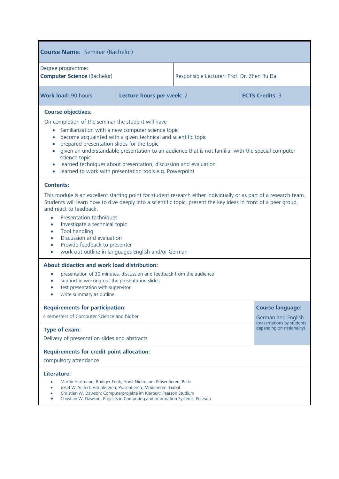| <b>Course Name:</b> Seminar (Bachelor)                                                                                                                                                                                                                                                                                                                                                                                                                                                                                                                                                  |                           |                                             |                                                                                    |  |
|-----------------------------------------------------------------------------------------------------------------------------------------------------------------------------------------------------------------------------------------------------------------------------------------------------------------------------------------------------------------------------------------------------------------------------------------------------------------------------------------------------------------------------------------------------------------------------------------|---------------------------|---------------------------------------------|------------------------------------------------------------------------------------|--|
| Degree programme:<br><b>Computer Science (Bachelor)</b>                                                                                                                                                                                                                                                                                                                                                                                                                                                                                                                                 |                           | Responsible Lecturer: Prof. Dr. Zhen Ru Dai |                                                                                    |  |
| Work load: 90 hours                                                                                                                                                                                                                                                                                                                                                                                                                                                                                                                                                                     | Lecture hours per week: 2 |                                             | <b>ECTS Credits: 3</b>                                                             |  |
| <b>Course objectives:</b><br>On completion of the seminar the student will have<br>familiarization with a new computer science topic<br>$\bullet$<br>become acquainted with a given technical and scientific topic<br>$\bullet$<br>prepared presentation slides for the topic<br>$\bullet$<br>given an understandable presentation to an audience that is not familiar with the special computer<br>$\bullet$<br>science topic<br>learned techniques about presentation, discussion and evaluation<br>$\bullet$<br>learned to work with presentation tools e.g. Powerpoint<br>$\bullet$ |                           |                                             |                                                                                    |  |
| <b>Contents:</b><br>This module is an excellent starting point for student research either individually or as part of a research team.<br>Students will learn how to dive deeply into a scientific topic, present the key ideas in front of a peer group,<br>and react to feedback.<br>Presentation techniques<br>$\bullet$<br>Investigate a technical topic<br>$\bullet$<br><b>Tool handling</b><br>$\bullet$<br>Discussion and evaluation<br>$\bullet$<br>Provide feedback to presenter<br>$\bullet$<br>work out outline in languages English and/or German<br>$\bullet$              |                           |                                             |                                                                                    |  |
| About didactics and work load distribution:<br>presentation of 30 minutes, discussion and feedback from the audience<br>$\bullet$<br>support in working out the presentation slides<br>$\bullet$<br>test presentation with supervisor<br>$\bullet$<br>write summary as outline                                                                                                                                                                                                                                                                                                          |                           |                                             |                                                                                    |  |
| <b>Requirements for participation:</b><br>4 semesters of Computer Science and higher                                                                                                                                                                                                                                                                                                                                                                                                                                                                                                    |                           |                                             | <b>Course language:</b><br><b>German and English</b><br>(presentations by students |  |
| depending on nationality)<br><b>Type of exam:</b><br>Delivery of presentation slides and abstracts                                                                                                                                                                                                                                                                                                                                                                                                                                                                                      |                           |                                             |                                                                                    |  |
| <b>Requirements for credit point allocation:</b><br>compulsory attendance                                                                                                                                                                                                                                                                                                                                                                                                                                                                                                               |                           |                                             |                                                                                    |  |
| Literature:<br>Martin Hartmann, Rüdiger Funk, Horst Nietmann: Präsentieren; Beltz<br>Josef W. Seifert: Visualisieren, Präsentieren, Moderieren; Gabal<br>$\bullet$<br>Christian W. Dawson: Computerprojekte im Klartext; Pearson Studium<br>$\bullet$<br>Christian W. Dawson: Projects in Computing and Information Systems, Pearson<br>$\bullet$                                                                                                                                                                                                                                       |                           |                                             |                                                                                    |  |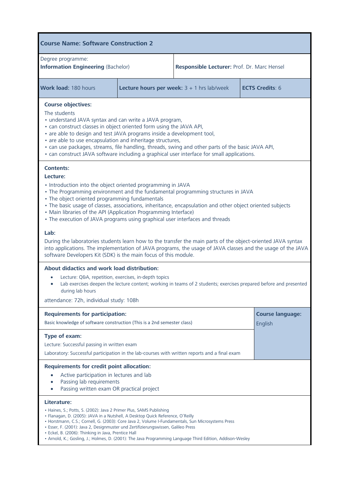| <b>Course Name: Software Construction 2</b>                                                                                                                                                                                                                                                                                                                                                                                                                                                                                                                                                                                                                                                                                                                                                                 |                                                                                                                                              |                                             |  |                        |
|-------------------------------------------------------------------------------------------------------------------------------------------------------------------------------------------------------------------------------------------------------------------------------------------------------------------------------------------------------------------------------------------------------------------------------------------------------------------------------------------------------------------------------------------------------------------------------------------------------------------------------------------------------------------------------------------------------------------------------------------------------------------------------------------------------------|----------------------------------------------------------------------------------------------------------------------------------------------|---------------------------------------------|--|------------------------|
| Degree programme:<br><b>Information Engineering (Bachelor)</b>                                                                                                                                                                                                                                                                                                                                                                                                                                                                                                                                                                                                                                                                                                                                              |                                                                                                                                              | Responsible Lecturer: Prof. Dr. Marc Hensel |  |                        |
| Work load: 180 hours                                                                                                                                                                                                                                                                                                                                                                                                                                                                                                                                                                                                                                                                                                                                                                                        | <b>Lecture hours per week:</b> $3 + 1$ hrs lab/week                                                                                          |                                             |  | <b>ECTS Credits: 6</b> |
| <b>Course objectives:</b><br>The students<br>• understand JAVA syntax and can write a JAVA program,<br>• can construct classes in object oriented form using the JAVA API,<br>• are able to design and test JAVA programs inside a development tool,<br>• are able to use encapsulation and inheritage structures,<br>• can use packages, streams, file handling, threads, swing and other parts of the basic JAVA API,<br>• can construct JAVA software including a graphical user interface for small applications.                                                                                                                                                                                                                                                                                       |                                                                                                                                              |                                             |  |                        |
| <b>Contents:</b><br>Lecture:<br>• Introduction into the object oriented programming in JAVA<br>• The Programming environment and the fundamental programming structures in JAVA<br>• The object oriented programming fundamentals<br>· The basic usage of classes, associations, inheritance, encapsulation and other object oriented subjects<br>• Main libraries of the API (Application Programming Interface)<br>• The execution of JAVA programs using graphical user interfaces and threads<br>Lab:<br>During the laboratories students learn how to the transfer the main parts of the object-oriented JAVA syntax<br>into applications. The implementation of JAVA programs, the usage of JAVA classes and the usage of the JAVA<br>software Developers Kit (SDK) is the main focus of this module. |                                                                                                                                              |                                             |  |                        |
| About didactics and work load distribution:<br>Lecture: Q&A, repetition, exercises, in-depth topics<br>Lab exercises deepen the lecture content; working in teams of 2 students; exercises prepared before and presented<br>$\bullet$<br>during lab hours<br>attendance: 72h, individual study: 108h                                                                                                                                                                                                                                                                                                                                                                                                                                                                                                        |                                                                                                                                              |                                             |  |                        |
|                                                                                                                                                                                                                                                                                                                                                                                                                                                                                                                                                                                                                                                                                                                                                                                                             | <b>Requirements for participation:</b><br><b>Course language:</b><br>Basic knowledge of software construction (This is a 2nd semester class) |                                             |  | English                |
| Type of exam:<br>Lecture: Successful passing in written exam<br>Laboratory: Successful participation in the lab-courses with written reports and a final exam                                                                                                                                                                                                                                                                                                                                                                                                                                                                                                                                                                                                                                               |                                                                                                                                              |                                             |  |                        |
| <b>Requirements for credit point allocation:</b><br>Active participation in lectures and lab<br>Passing lab requirements<br>$\bullet$<br>Passing written exam OR practical project                                                                                                                                                                                                                                                                                                                                                                                                                                                                                                                                                                                                                          |                                                                                                                                              |                                             |  |                        |
| Literature:<br>• Haines, S.; Potts, S. (2002): Java 2 Primer Plus, SAMS Publishing<br>· Flanagan, D. (2005): JAVA in a Nutshell, A Desktop Quick Reference, O'Reilly<br>· Horstmann, C.S.; Cornell, G. (2003): Core Java 2, Volume I-Fundamentals, Sun Microsystems Press<br>· Esser, F. (2001): Java 2, Designmuster und Zertifizierungswissen, Galileo Press<br>· Eckel, B. (2006): Thinking in Java, Prentice Hall<br>· Arnold, K.; Gosling, J.; Holmes, D. (2001): The Java Programming Language Third Edition, Addison-Wesley                                                                                                                                                                                                                                                                          |                                                                                                                                              |                                             |  |                        |